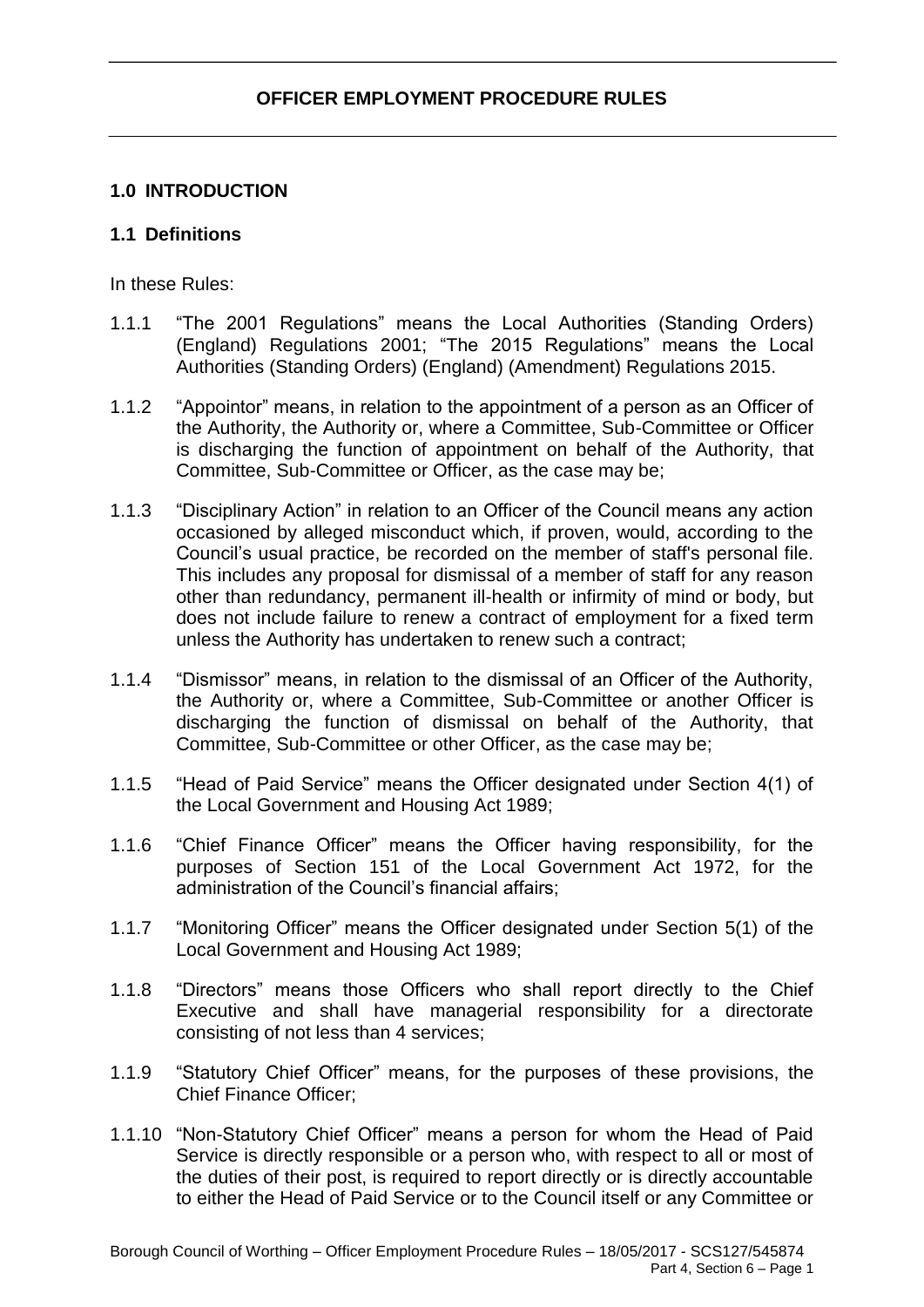## **1.0 INTRODUCTION**

### **1.1 Definitions**

In these Rules:

- 1.1.1 "The 2001 Regulations" means the Local Authorities (Standing Orders) (England) Regulations 2001; "The 2015 Regulations" means the Local Authorities (Standing Orders) (England) (Amendment) Regulations 2015.
- 1.1.2 "Appointor" means, in relation to the appointment of a person as an Officer of the Authority, the Authority or, where a Committee, Sub-Committee or Officer is discharging the function of appointment on behalf of the Authority, that Committee, Sub-Committee or Officer, as the case may be;
- 1.1.3 "Disciplinary Action" in relation to an Officer of the Council means any action occasioned by alleged misconduct which, if proven, would, according to the Council's usual practice, be recorded on the member of staff's personal file. This includes any proposal for dismissal of a member of staff for any reason other than redundancy, permanent ill-health or infirmity of mind or body, but does not include failure to renew a contract of employment for a fixed term unless the Authority has undertaken to renew such a contract;
- 1.1.4 "Dismissor" means, in relation to the dismissal of an Officer of the Authority, the Authority or, where a Committee, Sub-Committee or another Officer is discharging the function of dismissal on behalf of the Authority, that Committee, Sub-Committee or other Officer, as the case may be;
- 1.1.5 "Head of Paid Service" means the Officer designated under Section 4(1) of the Local Government and Housing Act 1989;
- 1.1.6 "Chief Finance Officer" means the Officer having responsibility, for the purposes of Section 151 of the Local Government Act 1972, for the administration of the Council's financial affairs;
- 1.1.7 "Monitoring Officer" means the Officer designated under Section 5(1) of the Local Government and Housing Act 1989;
- 1.1.8 "Directors" means those Officers who shall report directly to the Chief Executive and shall have managerial responsibility for a directorate consisting of not less than 4 services;
- 1.1.9 "Statutory Chief Officer" means, for the purposes of these provisions, the Chief Finance Officer;
- 1.1.10 "Non-Statutory Chief Officer" means a person for whom the Head of Paid Service is directly responsible or a person who, with respect to all or most of the duties of their post, is required to report directly or is directly accountable to either the Head of Paid Service or to the Council itself or any Committee or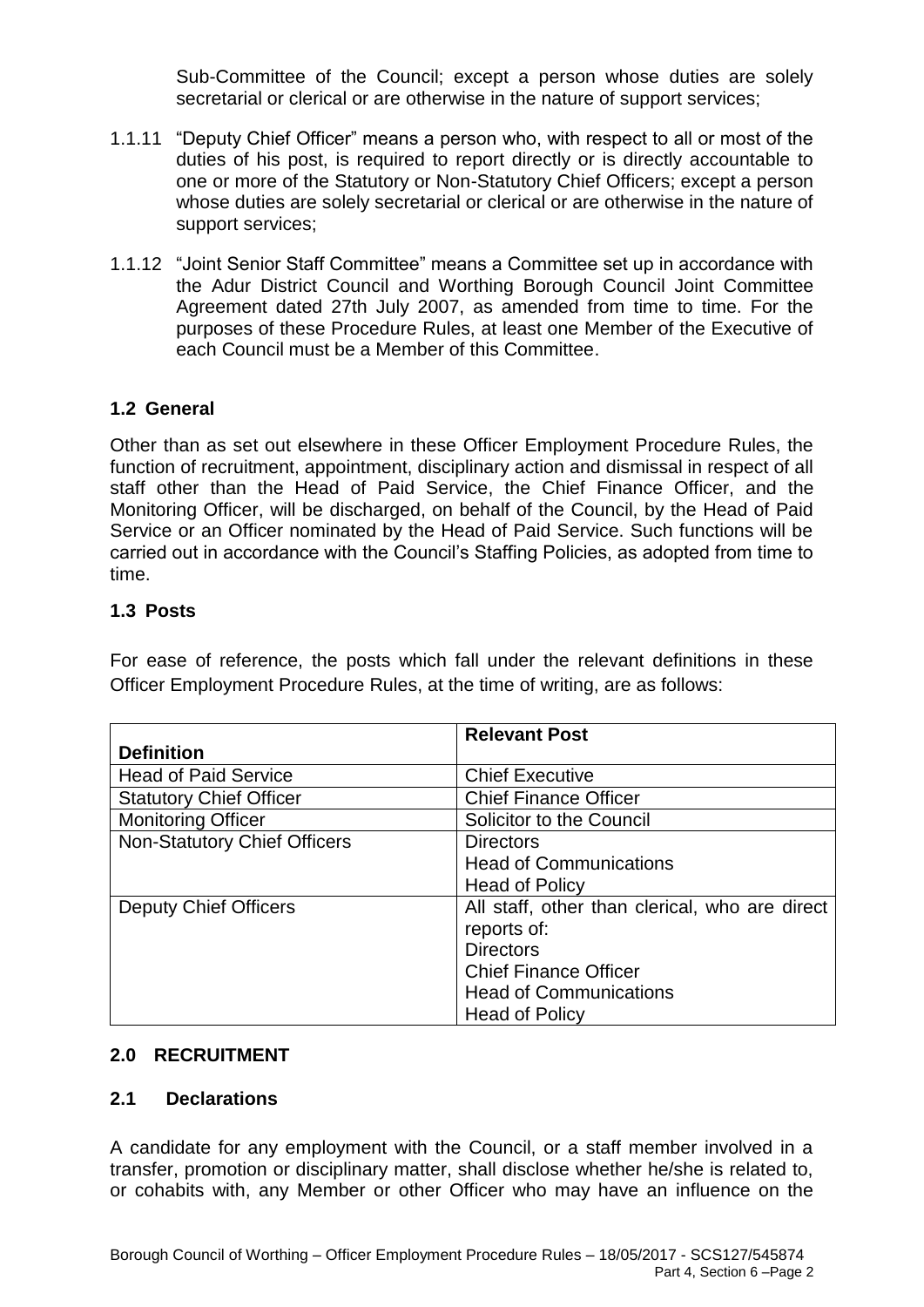Sub-Committee of the Council; except a person whose duties are solely secretarial or clerical or are otherwise in the nature of support services;

- 1.1.11 "Deputy Chief Officer" means a person who, with respect to all or most of the duties of his post, is required to report directly or is directly accountable to one or more of the Statutory or Non-Statutory Chief Officers; except a person whose duties are solely secretarial or clerical or are otherwise in the nature of support services;
- 1.1.12 "Joint Senior Staff Committee" means a Committee set up in accordance with the Adur District Council and Worthing Borough Council Joint Committee Agreement dated 27th July 2007, as amended from time to time. For the purposes of these Procedure Rules, at least one Member of the Executive of each Council must be a Member of this Committee.

## **1.2 General**

Other than as set out elsewhere in these Officer Employment Procedure Rules, the function of recruitment, appointment, disciplinary action and dismissal in respect of all staff other than the Head of Paid Service, the Chief Finance Officer, and the Monitoring Officer, will be discharged, on behalf of the Council, by the Head of Paid Service or an Officer nominated by the Head of Paid Service. Such functions will be carried out in accordance with the Council's Staffing Policies, as adopted from time to time.

### **1.3 Posts**

For ease of reference, the posts which fall under the relevant definitions in these Officer Employment Procedure Rules, at the time of writing, are as follows:

|                                     | <b>Relevant Post</b>                           |
|-------------------------------------|------------------------------------------------|
| <b>Definition</b>                   |                                                |
| <b>Head of Paid Service</b>         | <b>Chief Executive</b>                         |
| <b>Statutory Chief Officer</b>      | <b>Chief Finance Officer</b>                   |
| <b>Monitoring Officer</b>           | Solicitor to the Council                       |
| <b>Non-Statutory Chief Officers</b> | <b>Directors</b>                               |
|                                     | <b>Head of Communications</b>                  |
|                                     | <b>Head of Policy</b>                          |
| <b>Deputy Chief Officers</b>        | All staff, other than clerical, who are direct |
|                                     | reports of:                                    |
|                                     | <b>Directors</b>                               |
|                                     | <b>Chief Finance Officer</b>                   |
|                                     | <b>Head of Communications</b>                  |
|                                     | <b>Head of Policy</b>                          |

#### **2.0 RECRUITMENT**

#### **2.1 Declarations**

A candidate for any employment with the Council, or a staff member involved in a transfer, promotion or disciplinary matter, shall disclose whether he/she is related to, or cohabits with, any Member or other Officer who may have an influence on the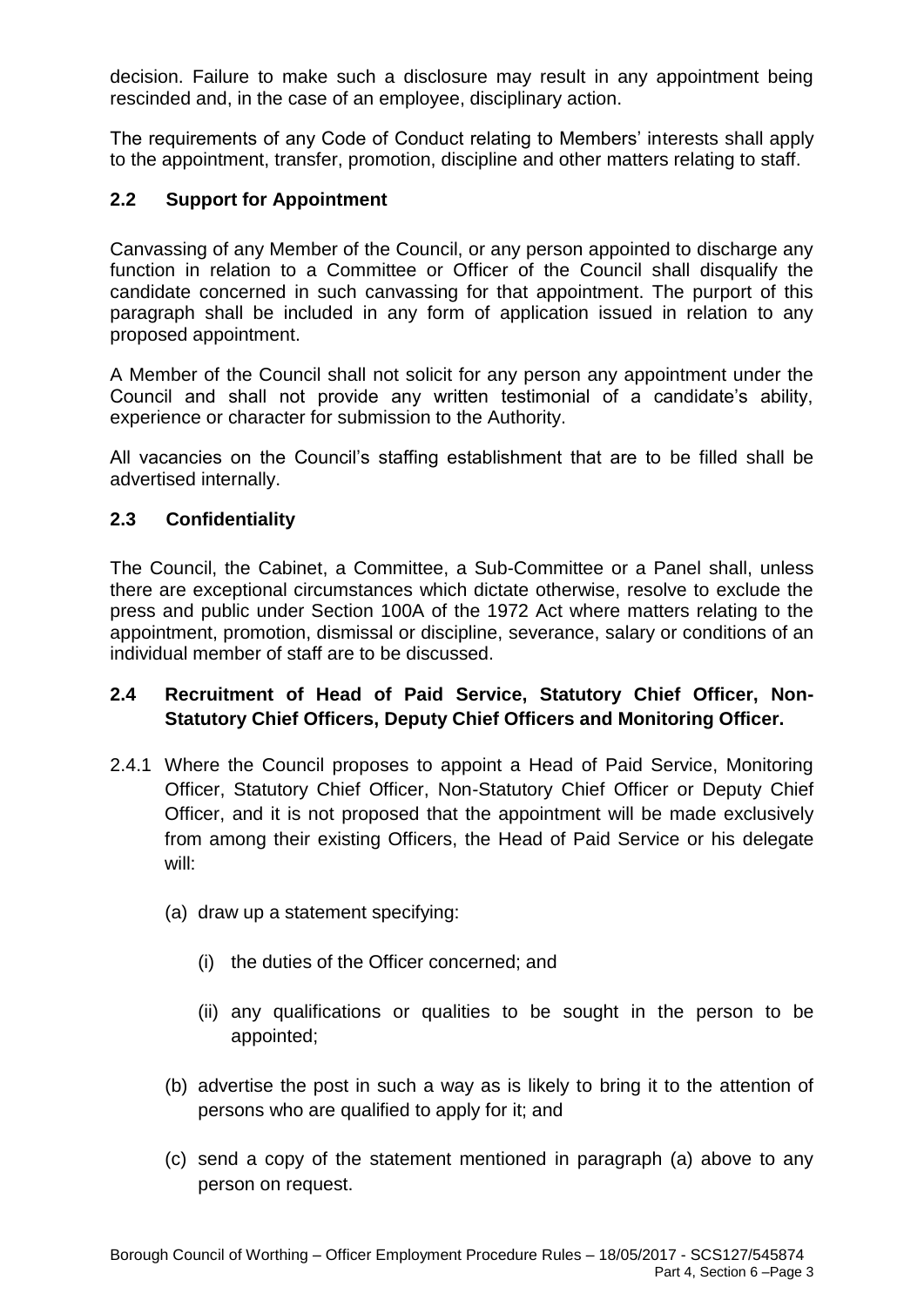decision. Failure to make such a disclosure may result in any appointment being rescinded and, in the case of an employee, disciplinary action.

The requirements of any Code of Conduct relating to Members' interests shall apply to the appointment, transfer, promotion, discipline and other matters relating to staff.

### **2.2 Support for Appointment**

Canvassing of any Member of the Council, or any person appointed to discharge any function in relation to a Committee or Officer of the Council shall disqualify the candidate concerned in such canvassing for that appointment. The purport of this paragraph shall be included in any form of application issued in relation to any proposed appointment.

A Member of the Council shall not solicit for any person any appointment under the Council and shall not provide any written testimonial of a candidate's ability, experience or character for submission to the Authority.

All vacancies on the Council's staffing establishment that are to be filled shall be advertised internally.

### **2.3 Confidentiality**

The Council, the Cabinet, a Committee, a Sub-Committee or a Panel shall, unless there are exceptional circumstances which dictate otherwise, resolve to exclude the press and public under Section 100A of the 1972 Act where matters relating to the appointment, promotion, dismissal or discipline, severance, salary or conditions of an individual member of staff are to be discussed.

# **2.4 Recruitment of Head of Paid Service, Statutory Chief Officer, Non-Statutory Chief Officers, Deputy Chief Officers and Monitoring Officer.**

- 2.4.1 Where the Council proposes to appoint a Head of Paid Service, Monitoring Officer, Statutory Chief Officer, Non-Statutory Chief Officer or Deputy Chief Officer, and it is not proposed that the appointment will be made exclusively from among their existing Officers, the Head of Paid Service or his delegate will:
	- (a) draw up a statement specifying:
		- (i) the duties of the Officer concerned; and
		- (ii) any qualifications or qualities to be sought in the person to be appointed;
	- (b) advertise the post in such a way as is likely to bring it to the attention of persons who are qualified to apply for it; and
	- (c) send a copy of the statement mentioned in paragraph (a) above to any person on request.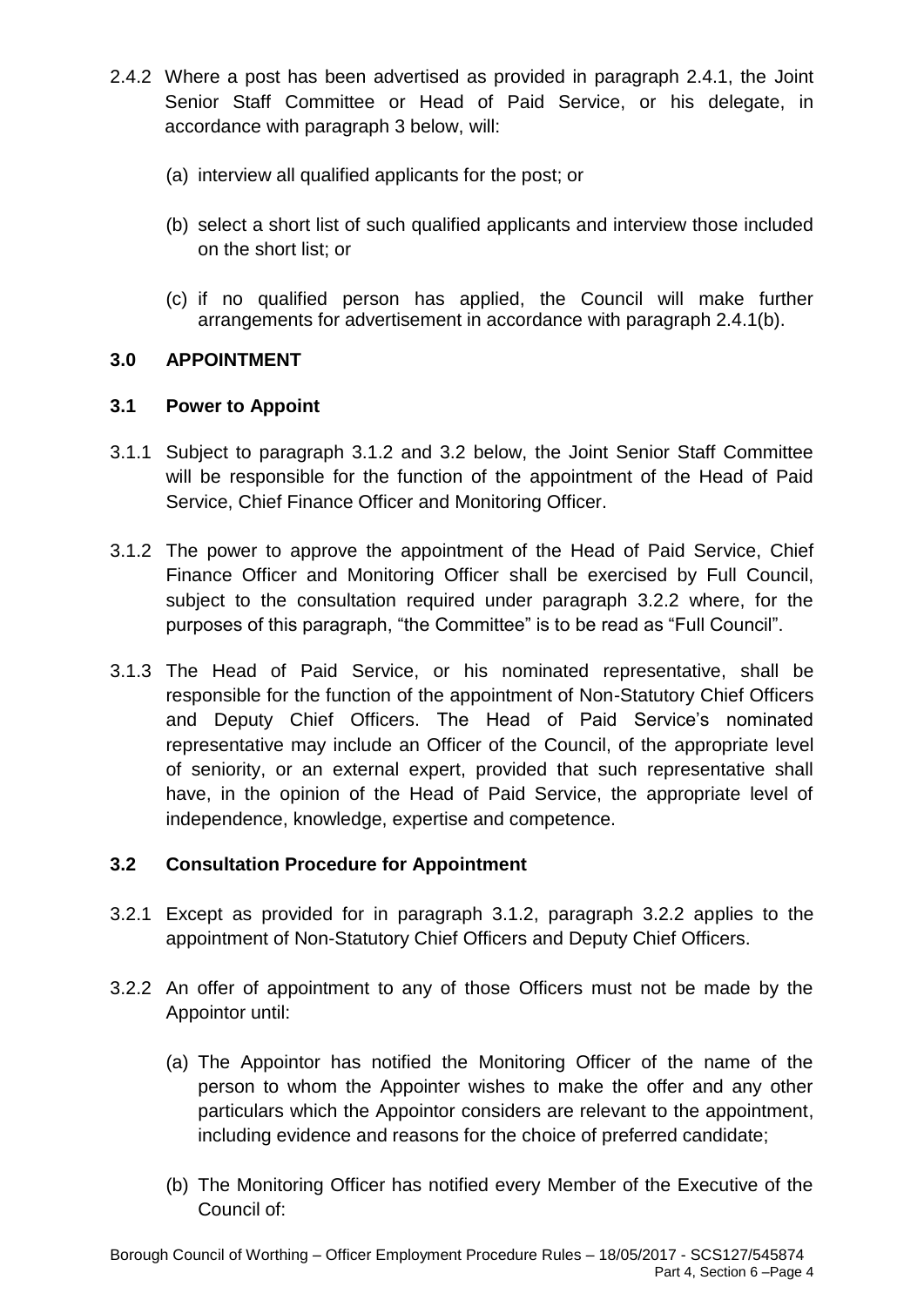- 2.4.2 Where a post has been advertised as provided in paragraph 2.4.1, the Joint Senior Staff Committee or Head of Paid Service, or his delegate, in accordance with paragraph 3 below, will:
	- (a) interview all qualified applicants for the post; or
	- (b) select a short list of such qualified applicants and interview those included on the short list; or
	- (c) if no qualified person has applied, the Council will make further arrangements for advertisement in accordance with paragraph 2.4.1(b).

## **3.0 APPOINTMENT**

### **3.1 Power to Appoint**

- 3.1.1 Subject to paragraph 3.1.2 and 3.2 below, the Joint Senior Staff Committee will be responsible for the function of the appointment of the Head of Paid Service, Chief Finance Officer and Monitoring Officer.
- 3.1.2 The power to approve the appointment of the Head of Paid Service, Chief Finance Officer and Monitoring Officer shall be exercised by Full Council, subject to the consultation required under paragraph 3.2.2 where, for the purposes of this paragraph, "the Committee" is to be read as "Full Council".
- 3.1.3 The Head of Paid Service, or his nominated representative, shall be responsible for the function of the appointment of Non-Statutory Chief Officers and Deputy Chief Officers. The Head of Paid Service's nominated representative may include an Officer of the Council, of the appropriate level of seniority, or an external expert, provided that such representative shall have, in the opinion of the Head of Paid Service, the appropriate level of independence, knowledge, expertise and competence.

## **3.2 Consultation Procedure for Appointment**

- 3.2.1 Except as provided for in paragraph 3.1.2, paragraph 3.2.2 applies to the appointment of Non-Statutory Chief Officers and Deputy Chief Officers.
- 3.2.2 An offer of appointment to any of those Officers must not be made by the Appointor until:
	- (a) The Appointor has notified the Monitoring Officer of the name of the person to whom the Appointer wishes to make the offer and any other particulars which the Appointor considers are relevant to the appointment, including evidence and reasons for the choice of preferred candidate;
	- (b) The Monitoring Officer has notified every Member of the Executive of the Council of: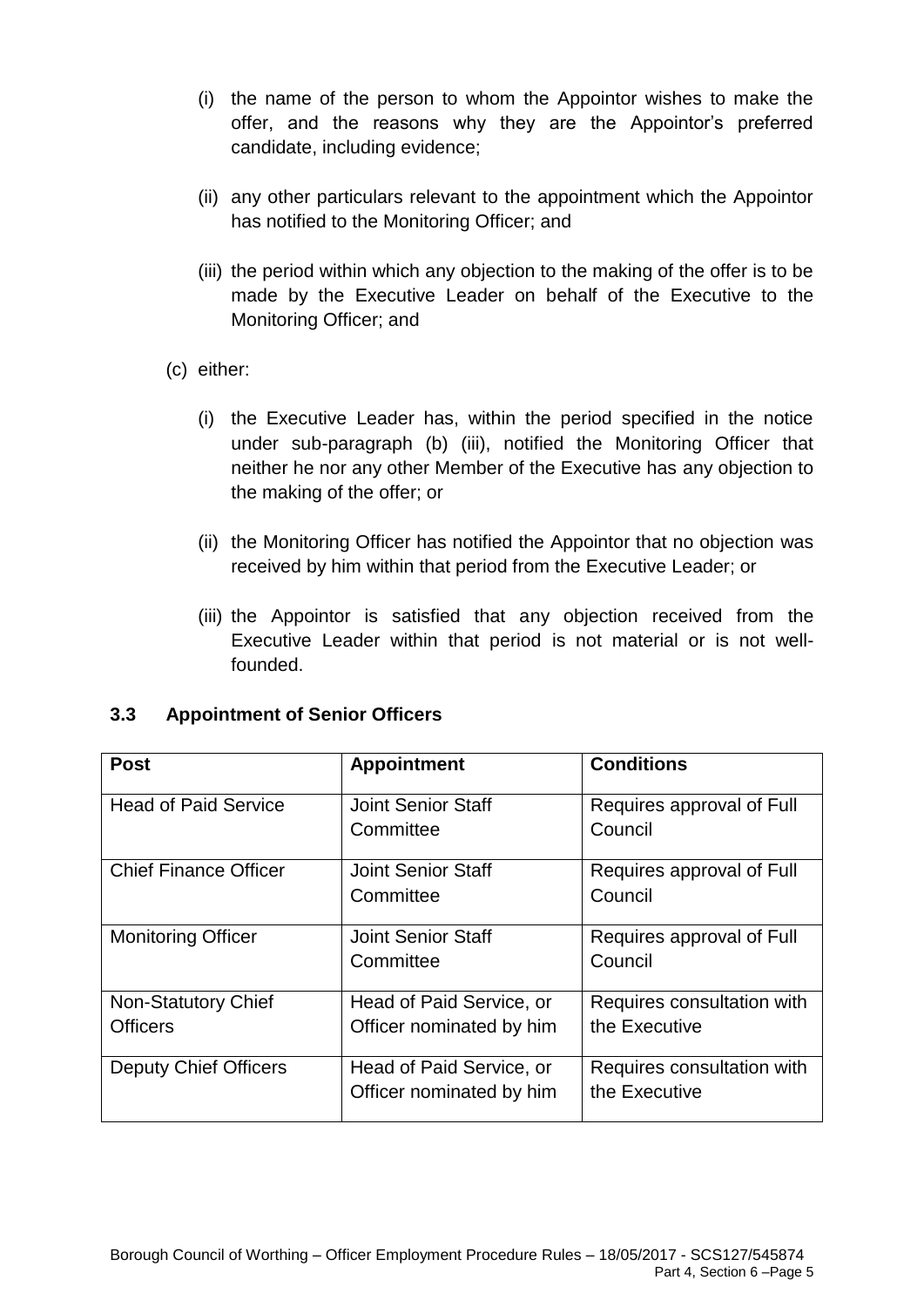- (i) the name of the person to whom the Appointor wishes to make the offer, and the reasons why they are the Appointor's preferred candidate, including evidence;
- (ii) any other particulars relevant to the appointment which the Appointor has notified to the Monitoring Officer; and
- (iii) the period within which any objection to the making of the offer is to be made by the Executive Leader on behalf of the Executive to the Monitoring Officer; and
- (c) either:
	- (i) the Executive Leader has, within the period specified in the notice under sub-paragraph (b) (iii), notified the Monitoring Officer that neither he nor any other Member of the Executive has any objection to the making of the offer; or
	- (ii) the Monitoring Officer has notified the Appointor that no objection was received by him within that period from the Executive Leader; or
	- (iii) the Appointor is satisfied that any objection received from the Executive Leader within that period is not material or is not wellfounded.

| <b>Post</b>                            | <b>Appointment</b>                                   | <b>Conditions</b>                           |
|----------------------------------------|------------------------------------------------------|---------------------------------------------|
| <b>Head of Paid Service</b>            | <b>Joint Senior Staff</b><br>Committee               | Requires approval of Full<br>Council        |
| <b>Chief Finance Officer</b>           | <b>Joint Senior Staff</b><br>Committee               | Requires approval of Full<br>Council        |
| <b>Monitoring Officer</b>              | <b>Joint Senior Staff</b><br>Committee               | Requires approval of Full<br>Council        |
| Non-Statutory Chief<br><b>Officers</b> | Head of Paid Service, or<br>Officer nominated by him | Requires consultation with<br>the Executive |
| <b>Deputy Chief Officers</b>           | Head of Paid Service, or<br>Officer nominated by him | Requires consultation with<br>the Executive |

## **3.3 Appointment of Senior Officers**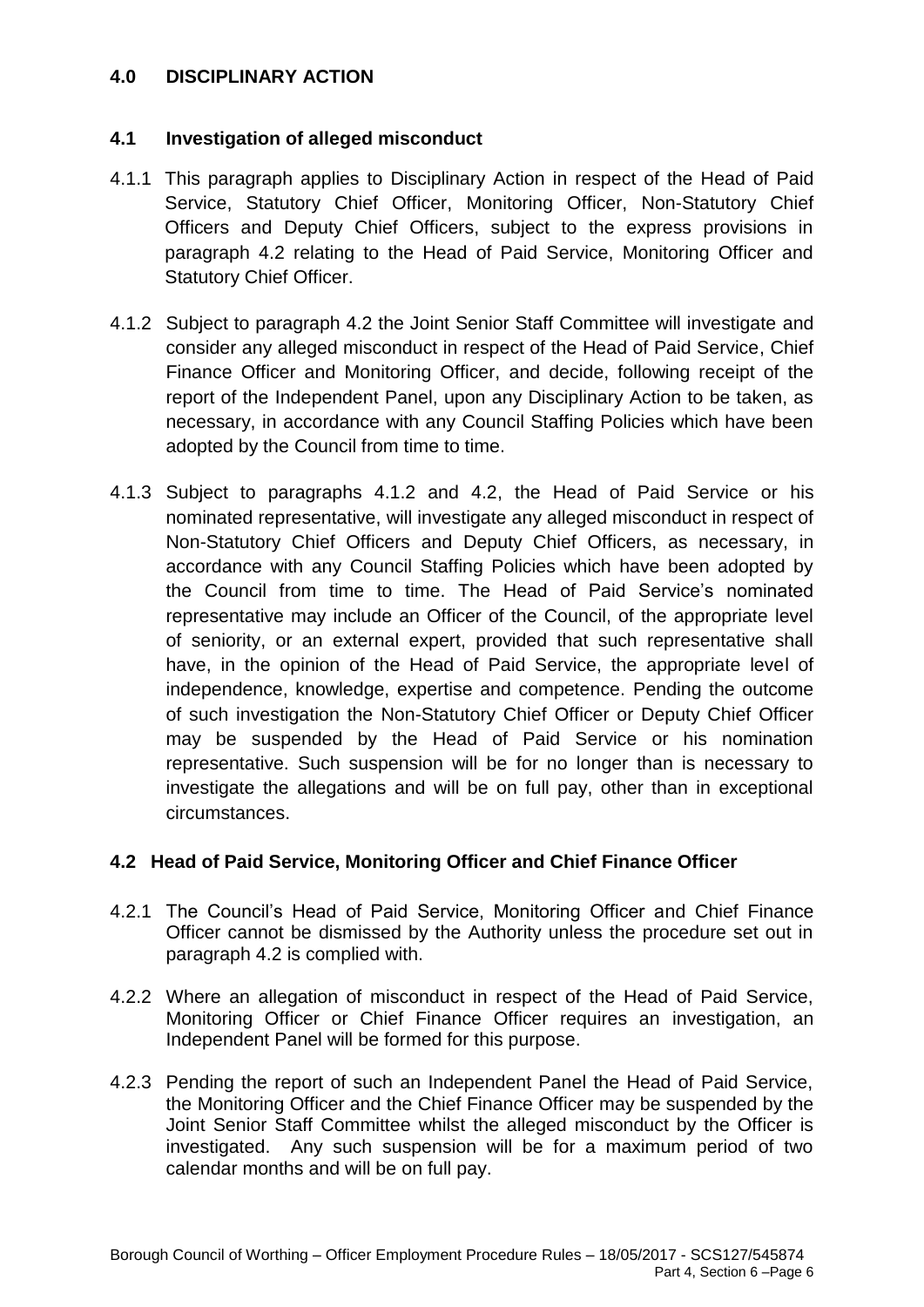### **4.0 DISCIPLINARY ACTION**

#### **4.1 Investigation of alleged misconduct**

- 4.1.1 This paragraph applies to Disciplinary Action in respect of the Head of Paid Service, Statutory Chief Officer, Monitoring Officer, Non-Statutory Chief Officers and Deputy Chief Officers, subject to the express provisions in paragraph 4.2 relating to the Head of Paid Service, Monitoring Officer and Statutory Chief Officer.
- 4.1.2 Subject to paragraph 4.2 the Joint Senior Staff Committee will investigate and consider any alleged misconduct in respect of the Head of Paid Service, Chief Finance Officer and Monitoring Officer, and decide, following receipt of the report of the Independent Panel, upon any Disciplinary Action to be taken, as necessary, in accordance with any Council Staffing Policies which have been adopted by the Council from time to time.
- 4.1.3 Subject to paragraphs 4.1.2 and 4.2, the Head of Paid Service or his nominated representative, will investigate any alleged misconduct in respect of Non-Statutory Chief Officers and Deputy Chief Officers, as necessary, in accordance with any Council Staffing Policies which have been adopted by the Council from time to time. The Head of Paid Service's nominated representative may include an Officer of the Council, of the appropriate level of seniority, or an external expert, provided that such representative shall have, in the opinion of the Head of Paid Service, the appropriate level of independence, knowledge, expertise and competence. Pending the outcome of such investigation the Non-Statutory Chief Officer or Deputy Chief Officer may be suspended by the Head of Paid Service or his nomination representative. Such suspension will be for no longer than is necessary to investigate the allegations and will be on full pay, other than in exceptional circumstances.

#### **4.2 Head of Paid Service, Monitoring Officer and Chief Finance Officer**

- 4.2.1 The Council's Head of Paid Service, Monitoring Officer and Chief Finance Officer cannot be dismissed by the Authority unless the procedure set out in paragraph 4.2 is complied with.
- 4.2.2 Where an allegation of misconduct in respect of the Head of Paid Service, Monitoring Officer or Chief Finance Officer requires an investigation, an Independent Panel will be formed for this purpose.
- 4.2.3 Pending the report of such an Independent Panel the Head of Paid Service, the Monitoring Officer and the Chief Finance Officer may be suspended by the Joint Senior Staff Committee whilst the alleged misconduct by the Officer is investigated. Any such suspension will be for a maximum period of two calendar months and will be on full pay.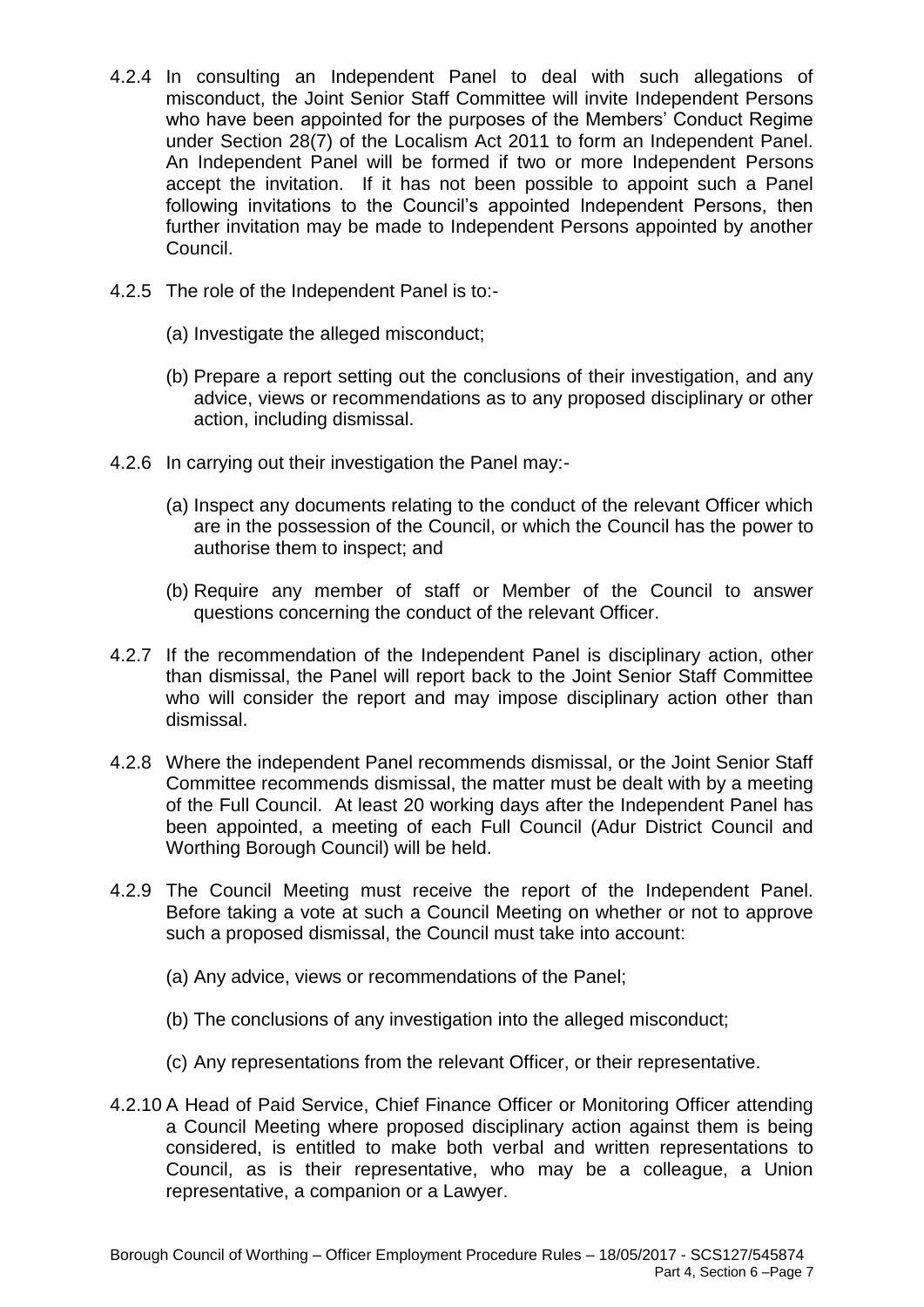- 4.2.4 In consulting an Independent Panel to deal with such allegations of misconduct, the Joint Senior Staff Committee will invite Independent Persons who have been appointed for the purposes of the Members' Conduct Regime under Section 28(7) of the Localism Act 2011 to form an Independent Panel. An Independent Panel will be formed if two or more Independent Persons accept the invitation. If it has not been possible to appoint such a Panel following invitations to the Council's appointed Independent Persons, then further invitation may be made to Independent Persons appointed by another Council.
- 4.2.5 The role of the Independent Panel is to:-
	- (a) Investigate the alleged misconduct;
	- (b) Prepare a report setting out the conclusions of their investigation, and any advice, views or recommendations as to any proposed disciplinary or other action, including dismissal.
- 4.2.6 In carrying out their investigation the Panel may:-
	- (a) Inspect any documents relating to the conduct of the relevant Officer which are in the possession of the Council, or which the Council has the power to authorise them to inspect; and
	- (b) Require any member of staff or Member of the Council to answer questions concerning the conduct of the relevant Officer.
- 4.2.7 If the recommendation of the Independent Panel is disciplinary action, other than dismissal, the Panel will report back to the Joint Senior Staff Committee who will consider the report and may impose disciplinary action other than dismissal.
- 4.2.8 Where the independent Panel recommends dismissal, or the Joint Senior Staff Committee recommends dismissal, the matter must be dealt with by a meeting of the Full Council. At least 20 working days after the Independent Panel has been appointed, a meeting of each Full Council (Adur District Council and Worthing Borough Council) will be held.
- 4.2.9 The Council Meeting must receive the report of the Independent Panel. Before taking a vote at such a Council Meeting on whether or not to approve such a proposed dismissal, the Council must take into account:
	- (a) Any advice, views or recommendations of the Panel;
	- (b) The conclusions of any investigation into the alleged misconduct;
	- (c) Any representations from the relevant Officer, or their representative.
- 4.2.10 A Head of Paid Service, Chief Finance Officer or Monitoring Officer attending a Council Meeting where proposed disciplinary action against them is being considered, is entitled to make both verbal and written representations to Council, as is their representative, who may be a colleague, a Union representative, a companion or a Lawyer.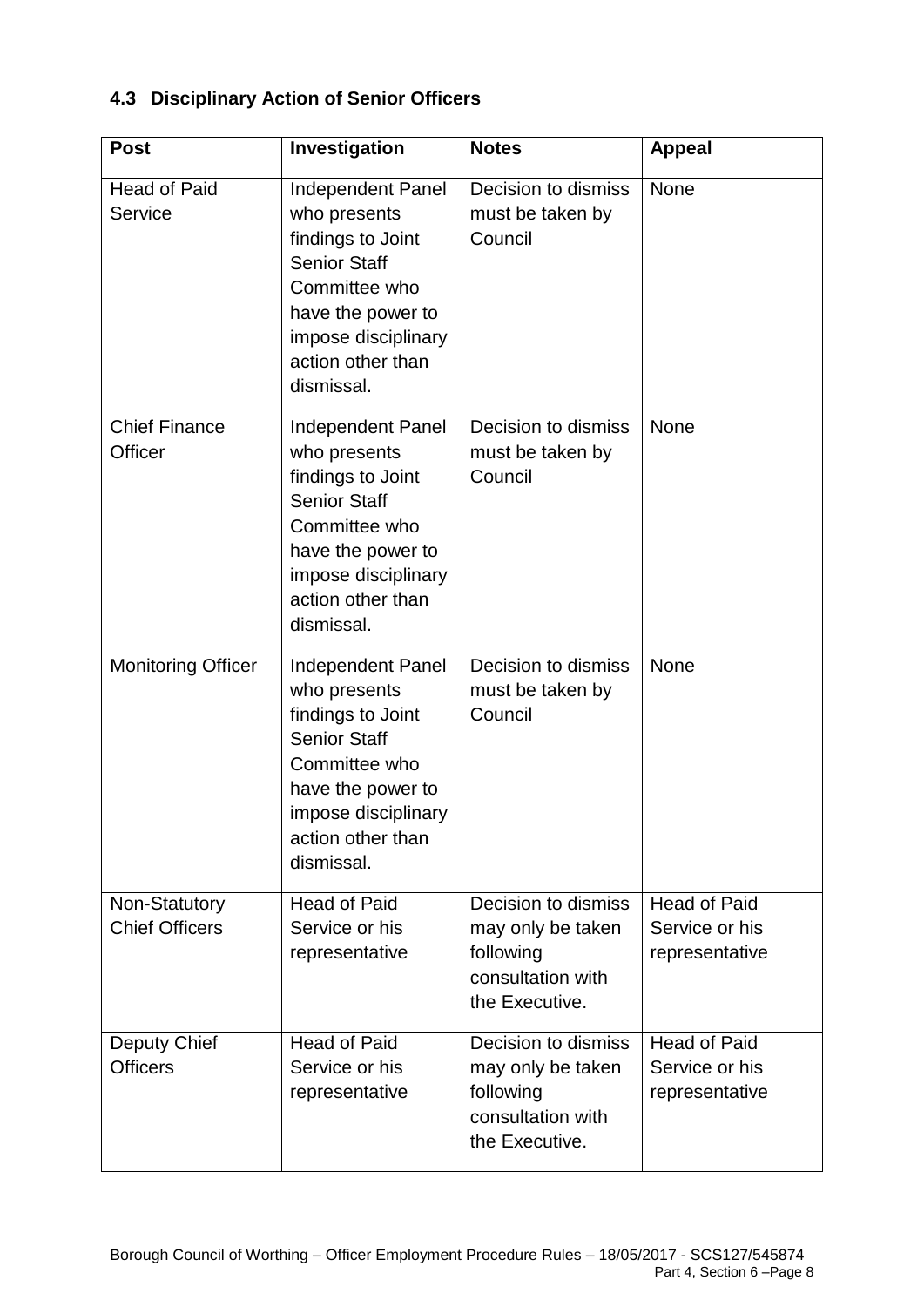|  | 4.3 Disciplinary Action of Senior Officers |  |  |  |
|--|--------------------------------------------|--|--|--|
|--|--------------------------------------------|--|--|--|

| <b>Post</b>                            | Investigation                                                                                                                                                                        | <b>Notes</b>                                                                                 | <b>Appeal</b>                                           |
|----------------------------------------|--------------------------------------------------------------------------------------------------------------------------------------------------------------------------------------|----------------------------------------------------------------------------------------------|---------------------------------------------------------|
| <b>Head of Paid</b><br>Service         | Independent Panel<br>who presents<br>findings to Joint<br><b>Senior Staff</b><br>Committee who<br>have the power to<br>impose disciplinary<br>action other than<br>dismissal.        | Decision to dismiss<br>must be taken by<br>Council                                           | None                                                    |
| <b>Chief Finance</b><br>Officer        | Independent Panel<br>who presents<br>findings to Joint<br><b>Senior Staff</b><br>Committee who<br>have the power to<br>impose disciplinary<br>action other than<br>dismissal.        | Decision to dismiss<br>must be taken by<br>Council                                           | <b>None</b>                                             |
| <b>Monitoring Officer</b>              | <b>Independent Panel</b><br>who presents<br>findings to Joint<br><b>Senior Staff</b><br>Committee who<br>have the power to<br>impose disciplinary<br>action other than<br>dismissal. | Decision to dismiss<br>must be taken by<br>Council                                           | None                                                    |
| Non-Statutory<br><b>Chief Officers</b> | <b>Head of Paid</b><br>Service or his<br>representative                                                                                                                              | Decision to dismiss<br>may only be taken<br>following<br>consultation with<br>the Executive. | <b>Head of Paid</b><br>Service or his<br>representative |
| Deputy Chief<br><b>Officers</b>        | <b>Head of Paid</b><br>Service or his<br>representative                                                                                                                              | Decision to dismiss<br>may only be taken<br>following<br>consultation with<br>the Executive. | <b>Head of Paid</b><br>Service or his<br>representative |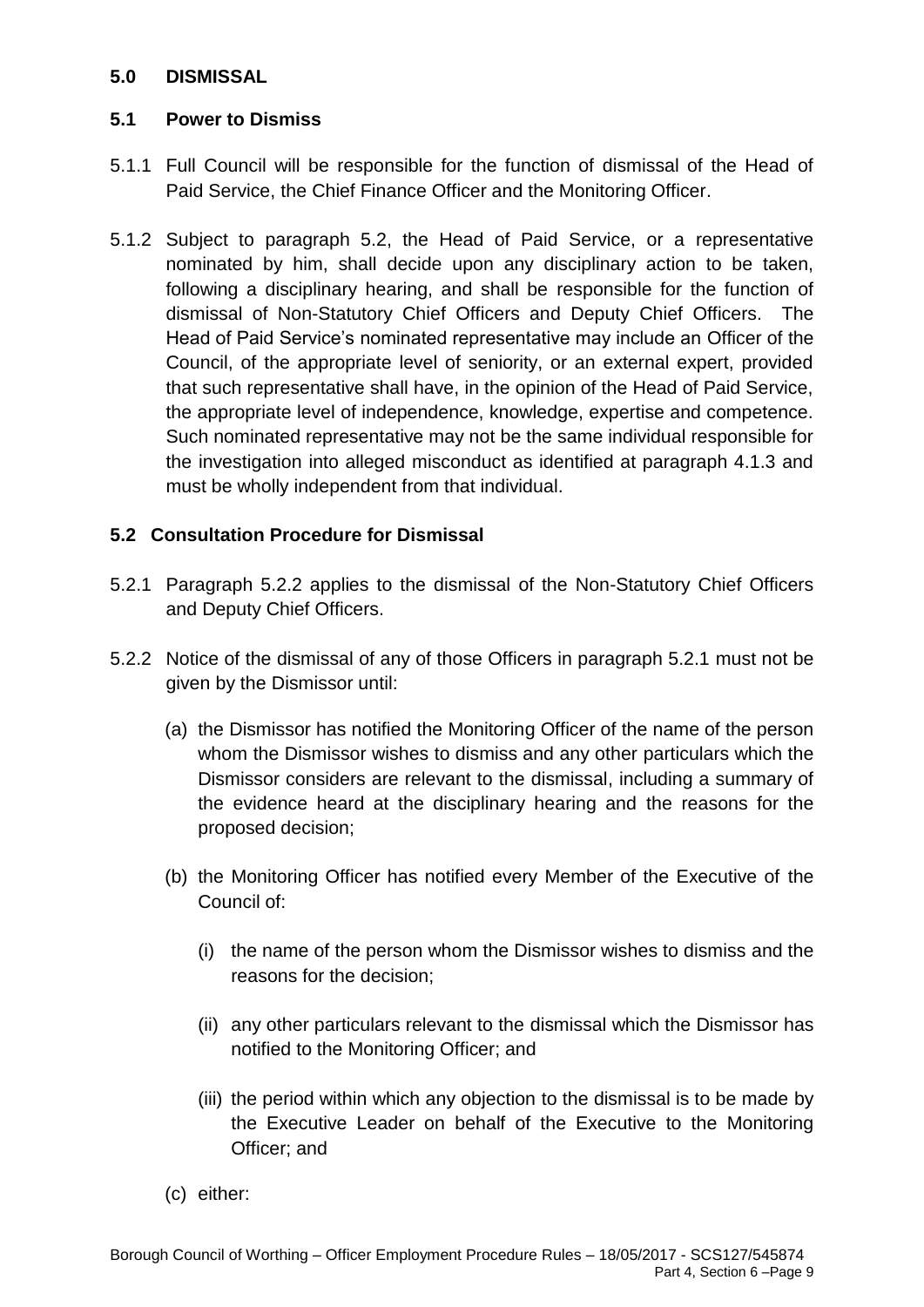### **5.0 DISMISSAL**

### **5.1 Power to Dismiss**

- 5.1.1 Full Council will be responsible for the function of dismissal of the Head of Paid Service, the Chief Finance Officer and the Monitoring Officer.
- 5.1.2 Subject to paragraph 5.2, the Head of Paid Service, or a representative nominated by him, shall decide upon any disciplinary action to be taken, following a disciplinary hearing, and shall be responsible for the function of dismissal of Non-Statutory Chief Officers and Deputy Chief Officers. The Head of Paid Service's nominated representative may include an Officer of the Council, of the appropriate level of seniority, or an external expert, provided that such representative shall have, in the opinion of the Head of Paid Service, the appropriate level of independence, knowledge, expertise and competence. Such nominated representative may not be the same individual responsible for the investigation into alleged misconduct as identified at paragraph 4.1.3 and must be wholly independent from that individual.

## **5.2 Consultation Procedure for Dismissal**

- 5.2.1 Paragraph 5.2.2 applies to the dismissal of the Non-Statutory Chief Officers and Deputy Chief Officers.
- 5.2.2 Notice of the dismissal of any of those Officers in paragraph 5.2.1 must not be given by the Dismissor until:
	- (a) the Dismissor has notified the Monitoring Officer of the name of the person whom the Dismissor wishes to dismiss and any other particulars which the Dismissor considers are relevant to the dismissal, including a summary of the evidence heard at the disciplinary hearing and the reasons for the proposed decision;
	- (b) the Monitoring Officer has notified every Member of the Executive of the Council of:
		- (i) the name of the person whom the Dismissor wishes to dismiss and the reasons for the decision;
		- (ii) any other particulars relevant to the dismissal which the Dismissor has notified to the Monitoring Officer; and
		- (iii) the period within which any objection to the dismissal is to be made by the Executive Leader on behalf of the Executive to the Monitoring Officer; and
	- (c) either: